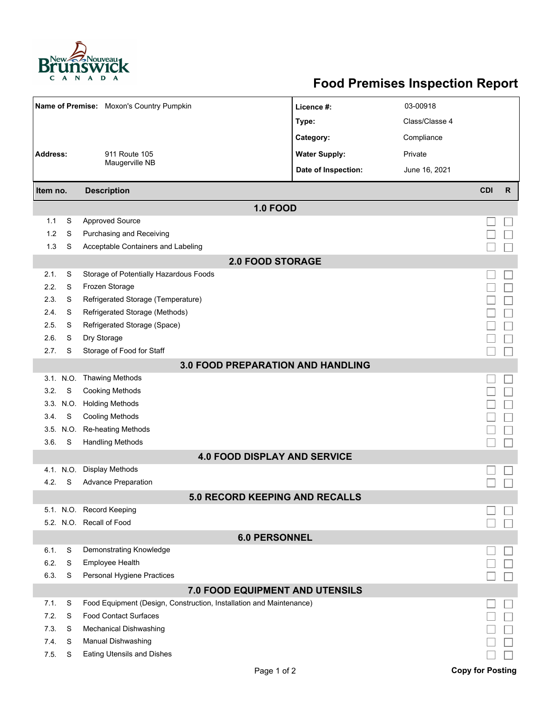

## **Food Premises Inspection Report**

| Name of Premise: Moxon's Country Pumpkin |                                |                                                                     | Licence #:           | 03-00918       |                         |              |  |  |  |  |
|------------------------------------------|--------------------------------|---------------------------------------------------------------------|----------------------|----------------|-------------------------|--------------|--|--|--|--|
|                                          |                                |                                                                     | Type:                | Class/Classe 4 |                         |              |  |  |  |  |
|                                          |                                |                                                                     | Category:            | Compliance     |                         |              |  |  |  |  |
| <b>Address:</b>                          |                                | 911 Route 105                                                       | <b>Water Supply:</b> | Private        |                         |              |  |  |  |  |
|                                          |                                | Maugerville NB                                                      | Date of Inspection:  | June 16, 2021  |                         |              |  |  |  |  |
|                                          |                                |                                                                     |                      |                | <b>CDI</b>              | $\mathsf{R}$ |  |  |  |  |
|                                          | <b>Description</b><br>Item no. |                                                                     |                      |                |                         |              |  |  |  |  |
| 1.1                                      | S                              | <b>1.0 FOOD</b><br><b>Approved Source</b>                           |                      |                |                         |              |  |  |  |  |
| 1.2                                      | S                              | Purchasing and Receiving                                            |                      |                |                         |              |  |  |  |  |
| 1.3                                      | S                              | Acceptable Containers and Labeling                                  |                      |                |                         |              |  |  |  |  |
|                                          |                                |                                                                     |                      |                |                         |              |  |  |  |  |
| 2.1.                                     | S                              | <b>2.0 FOOD STORAGE</b><br>Storage of Potentially Hazardous Foods   |                      |                |                         |              |  |  |  |  |
| 2.2.                                     | S                              | Frozen Storage                                                      |                      |                |                         |              |  |  |  |  |
| 2.3.                                     | S                              | Refrigerated Storage (Temperature)                                  |                      |                |                         |              |  |  |  |  |
| 2.4.                                     | S                              | Refrigerated Storage (Methods)                                      |                      |                |                         |              |  |  |  |  |
| 2.5.                                     | S                              | Refrigerated Storage (Space)                                        |                      |                |                         |              |  |  |  |  |
| 2.6.                                     | S                              | Dry Storage                                                         |                      |                |                         |              |  |  |  |  |
| 2.7.                                     | S                              | Storage of Food for Staff                                           |                      |                |                         |              |  |  |  |  |
|                                          |                                |                                                                     |                      |                |                         |              |  |  |  |  |
| <b>3.0 FOOD PREPARATION AND HANDLING</b> |                                |                                                                     |                      |                |                         |              |  |  |  |  |
| 3.2.                                     | 3.1. N.O.<br>S                 | <b>Thawing Methods</b><br><b>Cooking Methods</b>                    |                      |                |                         |              |  |  |  |  |
|                                          | 3.3. N.O.                      | <b>Holding Methods</b>                                              |                      |                |                         |              |  |  |  |  |
| 3.4.                                     | S                              | <b>Cooling Methods</b>                                              |                      |                |                         |              |  |  |  |  |
|                                          | 3.5. N.O.                      | <b>Re-heating Methods</b>                                           |                      |                |                         |              |  |  |  |  |
| 3.6.                                     | S                              | <b>Handling Methods</b>                                             |                      |                |                         |              |  |  |  |  |
|                                          |                                | <b>4.0 FOOD DISPLAY AND SERVICE</b>                                 |                      |                |                         |              |  |  |  |  |
|                                          | 4.1. N.O.                      | <b>Display Methods</b>                                              |                      |                |                         |              |  |  |  |  |
| 4.2.                                     | S                              | <b>Advance Preparation</b>                                          |                      |                |                         |              |  |  |  |  |
|                                          |                                | 5 0 RECORD KEEPING AND RECALLS                                      |                      |                |                         |              |  |  |  |  |
|                                          |                                | 5.1. N.O. Record Keeping                                            |                      |                |                         |              |  |  |  |  |
|                                          |                                | 5.2. N.O. Recall of Food                                            |                      |                |                         |              |  |  |  |  |
| <b>6.0 PERSONNEL</b>                     |                                |                                                                     |                      |                |                         |              |  |  |  |  |
| 6.1.                                     | S                              | Demonstrating Knowledge                                             |                      |                |                         |              |  |  |  |  |
| 6.2.                                     | S                              | Employee Health                                                     |                      |                |                         |              |  |  |  |  |
| 6.3.                                     | S                              | Personal Hygiene Practices                                          |                      |                |                         |              |  |  |  |  |
|                                          |                                | 7.0 FOOD EQUIPMENT AND UTENSILS                                     |                      |                |                         |              |  |  |  |  |
| 7.1.                                     | S                              | Food Equipment (Design, Construction, Installation and Maintenance) |                      |                |                         |              |  |  |  |  |
| 7.2.                                     | S                              | <b>Food Contact Surfaces</b>                                        |                      |                |                         |              |  |  |  |  |
| 7.3                                      | S                              | Mechanical Dishwashing                                              |                      |                |                         |              |  |  |  |  |
| 7.4.                                     | S                              | Manual Dishwashing                                                  |                      |                |                         |              |  |  |  |  |
| 7.5                                      | S                              | <b>Eating Utensils and Dishes</b>                                   |                      |                |                         |              |  |  |  |  |
|                                          |                                | Page 1 of 2                                                         |                      |                | <b>Copy for Posting</b> |              |  |  |  |  |